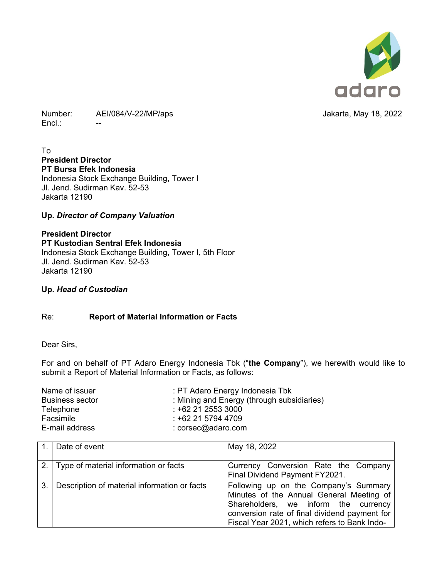

Number: AEI/084/V-22/MP/aps **Jakarta, May 18, 2022**  $Encl.$ :

To **President Director PT Bursa Efek Indonesia**  Indonesia Stock Exchange Building, Tower I Jl. Jend. Sudirman Kav. 52-53

Jakarta 12190

## **Up.** *Director of Company Valuation*

**President Director PT Kustodian Sentral Efek Indonesia**  Indonesia Stock Exchange Building, Tower I, 5th Floor Jl. Jend. Sudirman Kav. 52-53 Jakarta 12190

**Up.** *Head of Custodian*

## Re: **Report of Material Information or Facts**

Dear Sirs,

For and on behalf of PT Adaro Energy Indonesia Tbk ("**the Company**"), we herewith would like to submit a Report of Material Information or Facts, as follows:

| Name of issuer         | : PT Adaro Energy Indonesia Tbk            |
|------------------------|--------------------------------------------|
| <b>Business sector</b> | : Mining and Energy (through subsidiaries) |
| Telephone              | $: +622125533000$                          |
| Facsimile              | $: +622157944709$                          |
| E-mail address         | $: \csc(\theta)$ adaro.com                 |

|                | 1. Date of event                             | May 18, 2022                                                                                                                                                                                                               |
|----------------|----------------------------------------------|----------------------------------------------------------------------------------------------------------------------------------------------------------------------------------------------------------------------------|
|                | 2. Type of material information or facts     | Currency Conversion Rate the Company<br>Final Dividend Payment FY2021.                                                                                                                                                     |
| 3 <sub>l</sub> | Description of material information or facts | Following up on the Company's Summary<br>Minutes of the Annual General Meeting of<br>Shareholders, we inform the currency<br>conversion rate of final dividend payment for<br>Fiscal Year 2021, which refers to Bank Indo- |